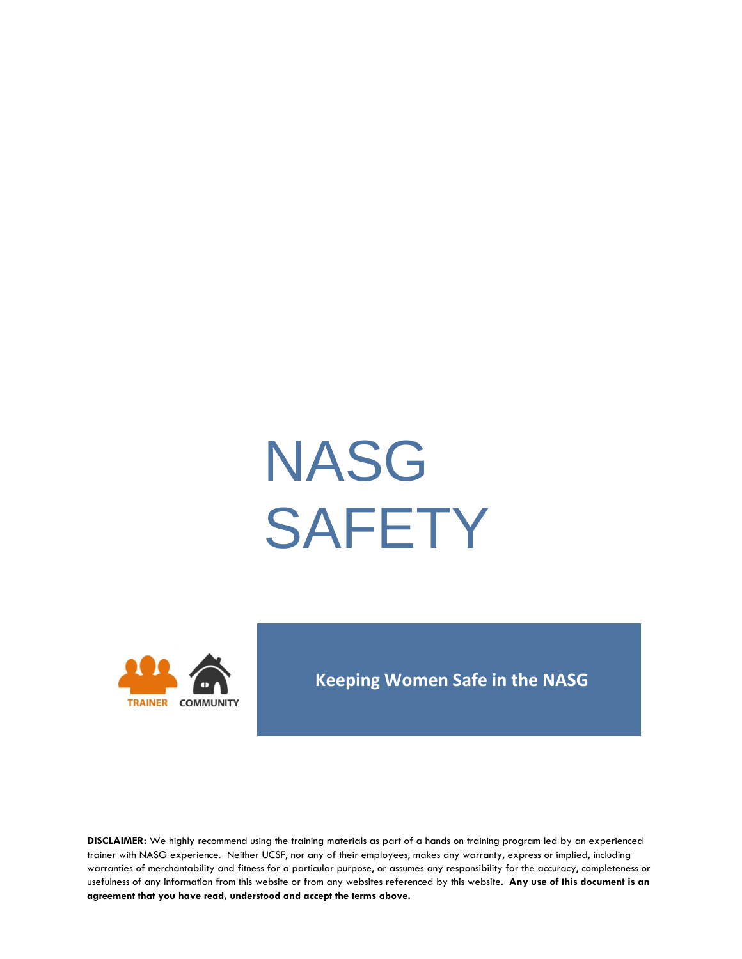# NASG **SAFETY**



#### **Keeping Women Safe in the NASG**

**DISCLAIMER:** We highly recommend using the training materials as part of a hands on training program led by an experienced trainer with NASG experience. Neither UCSF, nor any of their employees, makes any warranty, express or implied, including warranties of merchantability and fitness for a particular purpose, or assumes any responsibility for the accuracy, completeness or usefulness of any information from this website or from any websites referenced by this website. **Any use of this document is an agreement that you have read, understood and accept the terms above.**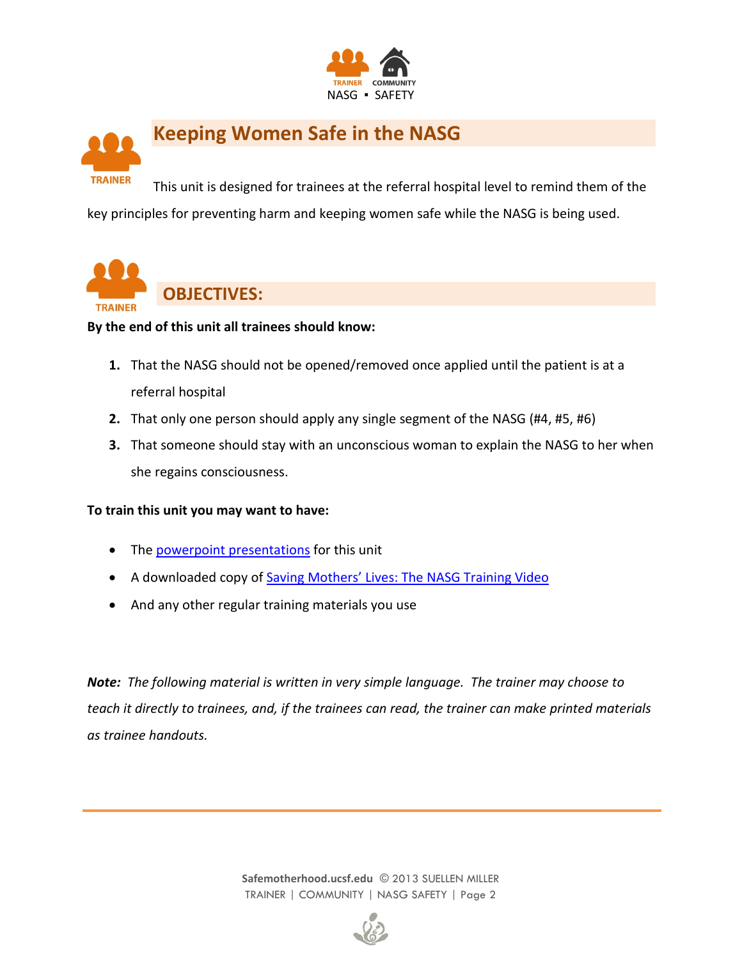



This unit is designed for trainees at the referral hospital level to remind them of the key principles for preventing harm and keeping women safe while the NASG is being used.



**By the end of this unit all trainees should know:**

- **1.** That the NASG should not be opened/removed once applied until the patient is at a referral hospital
- **2.** That only one person should apply any single segment of the NASG (#4, #5, #6)
- **3.** That someone should stay with an unconscious woman to explain the NASG to her when she regains consciousness.

#### **To train this unit you may want to have:**

- The [powerpoint presentations](http://www.safemotherhood.ucsf.edu/traininglearningmaterials/#TR-COM) for this unit
- A downloaded copy of Saving Mothers' [Lives: The NASG Training Video](http://www.safemotherhood.ucsf.edu/traininglearningmaterials/#VIDEO)
- And any other regular training materials you use

*Note: The following material is written in very simple language. The trainer may choose to teach it directly to trainees, and, if the trainees can read, the trainer can make printed materials as trainee handouts.*

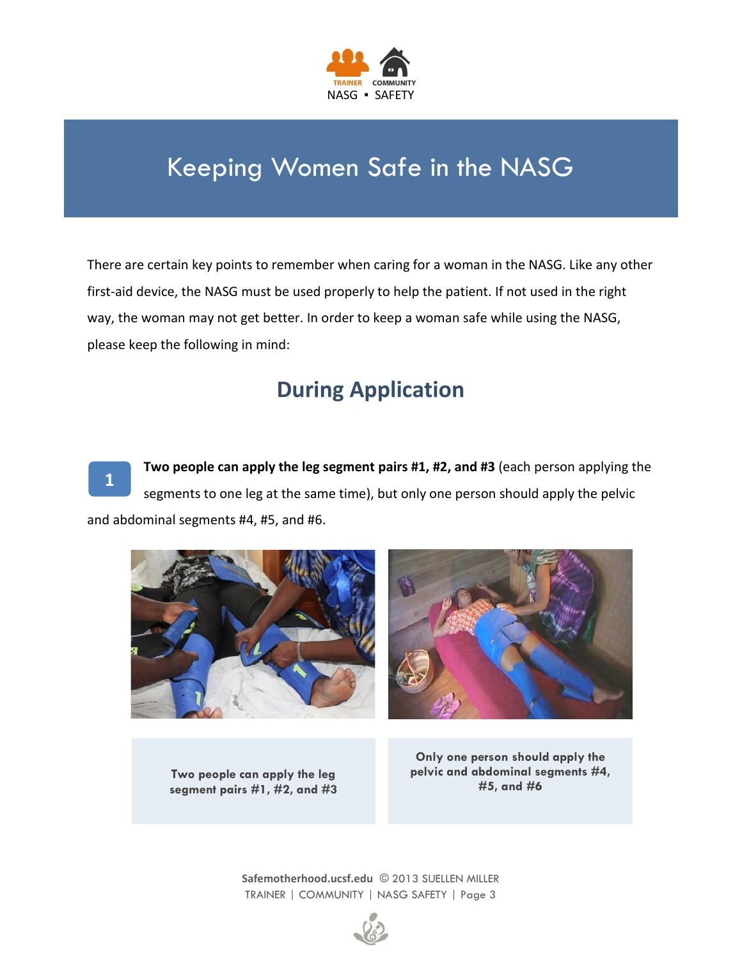

## Keeping Women Safe in the NASG

There are certain key points to remember when caring for a woman in the NASG. Like any other first-aid device, the NASG must be used properly to help the patient. If not used in the right way, the woman may not get better. In order to keep a woman safe while using the NASG, please keep the following in mind:

#### **During Application**

**1**

**Two people can apply the leg segment pairs #1, #2, and #3** (each person applying the segments to one leg at the same time), but only one person should apply the pelvic and abdominal segments #4, #5, and #6.



**Two people can apply the leg segment pairs #1, #2, and #3**

**Only one person should apply the pelvic and abdominal segments #4, #5, and #6**

**[Safemotherhood.ucsf.edu](http://www.lifewrap.org/)** © 2013 SUELLEN MILLER TRAINER | COMMUNITY | NASG SAFETY | Page 3

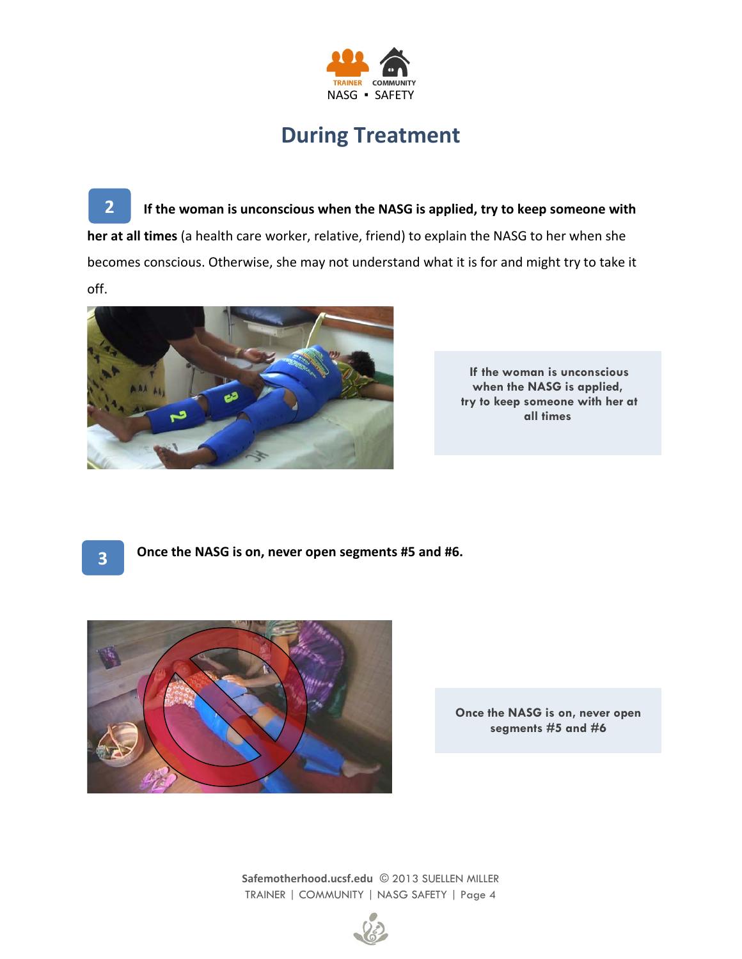

#### **During Treatment**

**2 If the woman is unconscious when the NASG is applied, try to keep someone with her at all times** (a health care worker, relative, friend) to explain the NASG to her when she becomes conscious. Otherwise, she may not understand what it is for and might try to take it off.



**If the woman is unconscious when the NASG is applied, try to keep someone with her at all times**

**3**

**Once the NASG is on, never open segments #5 and #6.**



**Once the NASG is on, never open segments #5 and #6** 

**[Safemotherhood.ucsf.edu](http://www.lifewrap.org/)** © 2013 SUELLEN MILLER TRAINER | COMMUNITY | NASG SAFETY | Page 4

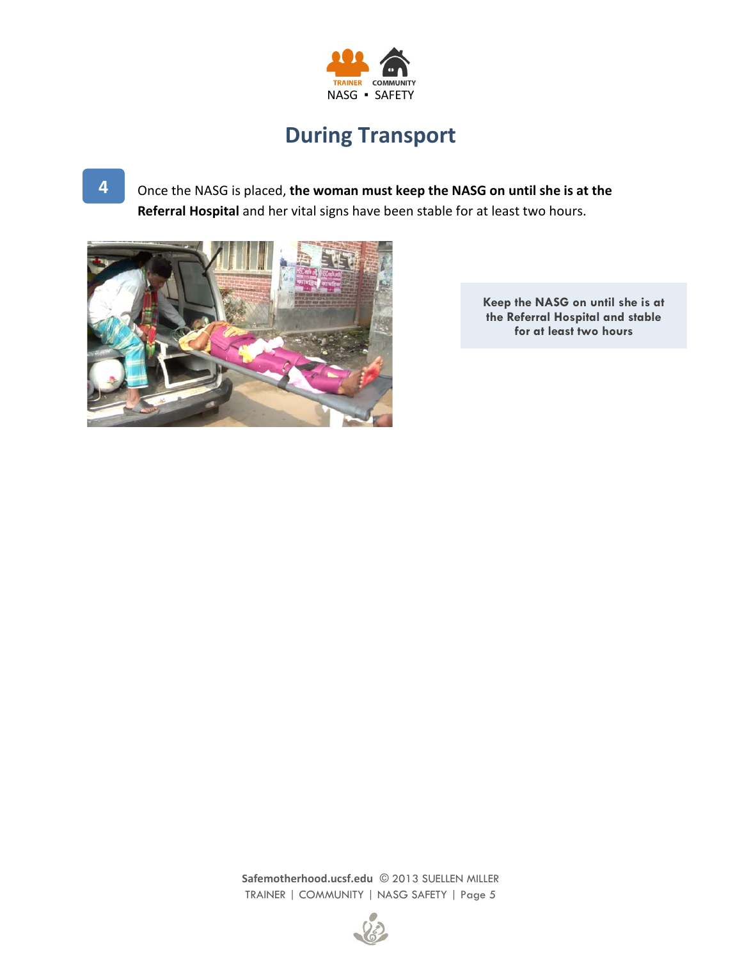

## **During Transport**

Once the NASG is placed, **the woman must keep the NASG on until she is at the Referral Hospital** and her vital signs have been stable for at least two hours.



**Keep the NASG on until she is at the Referral Hospital and stable for at least two hours**

**[Safemotherhood.ucsf.edu](http://www.lifewrap.org/)** © 2013 SUELLEN MILLER TRAINER | COMMUNITY | NASG SAFETY | Page 5



**4**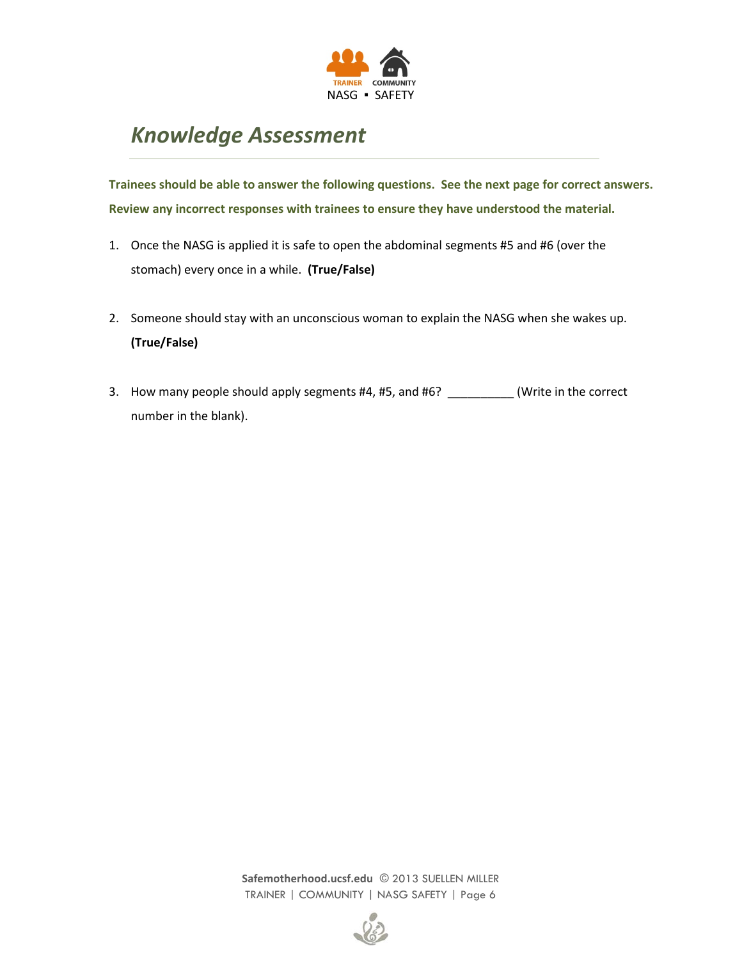

## *Knowledge Assessment*

**Trainees should be able to answer the following questions. See the next page for correct answers. Review any incorrect responses with trainees to ensure they have understood the material.**

- 1. Once the NASG is applied it is safe to open the abdominal segments #5 and #6 (over the stomach) every once in a while. **(True/False)**
- 2. Someone should stay with an unconscious woman to explain the NASG when she wakes up. **(True/False)**
- 3. How many people should apply segments #4, #5, and #6? \_\_\_\_\_\_\_\_\_(Write in the correct number in the blank).